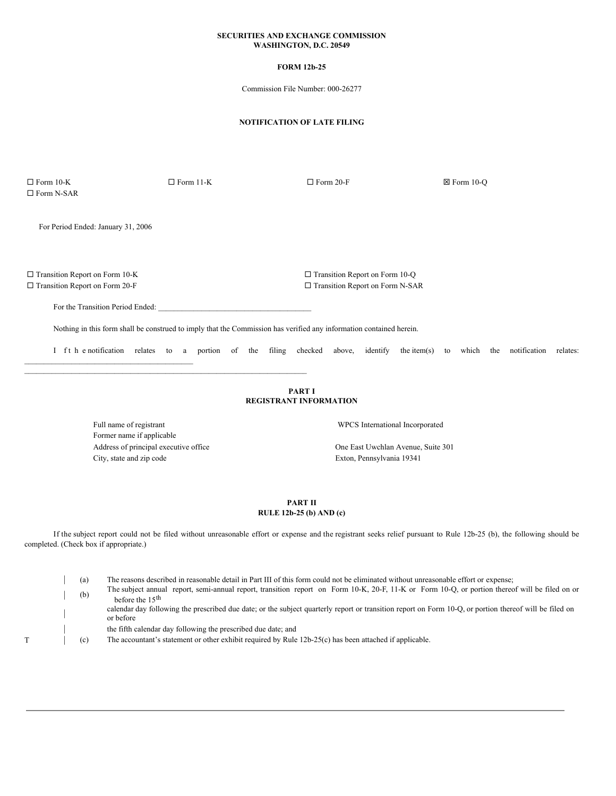### **SECURITIES AND EXCHANGE COMMISSION WASHINGTON, D.C. 20549**

## **FORM 12b-25**

Commission File Number: 000-26277

## **NOTIFICATION OF LATE FILING**

 $\square$  Form 10-K  $\square$  Form 11-K  $\square$  Form 20-F  $\square$  Form 20-C  $\Box$  <br> Form N-SAR

For Period Ended: January 31, 2006

¨ Transition Report on Form 10-K ¨ Transition Report on Form 10-Q ¨ Transition Report on Form 20-F ¨ Transition Report on Form N-SAR

For the Transition Period Ended:

\_\_\_\_\_\_\_\_\_\_\_\_\_\_\_\_\_\_\_\_\_\_\_\_\_\_\_\_\_\_\_\_\_\_\_\_\_\_\_\_\_\_\_

Nothing in this form shall be construed to imply that the Commission has verified any information contained herein.

I ft h e notification relates to a portion of the filing checked above, identify the item(s) to which the notification relates:

### **PART I REGISTRANT INFORMATION**

Full name of registrant **EXECUS** International Incorporated Former name if applicable Address of principal executive office **One East Uwchlan Avenue, Suite 301** City, state and zip code Exton, Pennsylvania 19341

 $\_$  , and the set of the set of the set of the set of the set of the set of the set of the set of the set of the set of the set of the set of the set of the set of the set of the set of the set of the set of the set of th

## **PART II RULE 12b-25 (b) AND (c)**

If the subject report could not be filed without unreasonable effort or expense and the registrant seeks relief pursuant to Rule 12b-25 (b), the following should be completed. (Check box if appropriate.)

| (a) The reasons described in reasonable detail in Part III of this form could not be eliminated without unreasonable effort or expense; | (b) The subject annual report, semi-annual report, transition report on Form 10-K, 20-F, 11-K or Form 10-Q, or portion thereof will be filed on or before the 15<sup>th</sup> | calendar day following the prescribed due date; or the subject quarterly report or transition report on Form 10-Q, or portion thereof will be filed on or before the fifth calendar day following the prescribed due date; and

T (c) The accountant's statement or other exhibit required by Rule 12b-25(c) has been attached if applicable.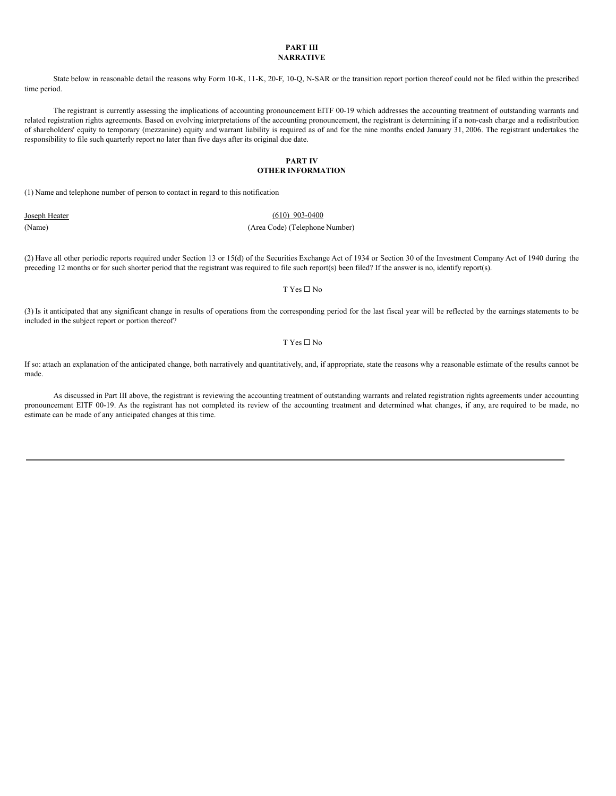#### **PART III NARRATIVE**

State below in reasonable detail the reasons why Form 10-K, 11-K, 20-F, 10-Q, N-SAR or the transition report portion thereof could not be filed within the prescribed time period.

The registrant is currently assessing the implications of accounting pronouncement EITF 00-19 which addresses the accounting treatment of outstanding warrants and related registration rights agreements. Based on evolving interpretations of the accounting pronouncement, the registrant is determining if a non-cash charge and a redistribution of shareholders' equity to temporary (mezzanine) equity and warrant liability is required as of and for the nine months ended January 31, 2006. The registrant undertakes the responsibility to file such quarterly report no later than five days after its original due date.

#### **PART IV OTHER INFORMATION**

(1) Name and telephone number of person to contact in regard to this notification

# Joseph Heater (610) 903-0400 (Name) (Area Code) (Telephone Number)

(2) Have all other periodic reports required under Section 13 or 15(d) of the Securities Exchange Act of 1934 or Section 30 of the Investment Company Act of 1940 during the preceding 12 months or for such shorter period that the registrant was required to file such report(s) been filed? If the answer is no, identify report(s).

#### $T$  Yes  $\Box$  No

(3) Is it anticipated that any significant change in results of operations from the corresponding period for the last fiscal year will be reflected by the earnings statements to be included in the subject report or portion thereof?

#### T Yes  $\square$  No

If so: attach an explanation of the anticipated change, both narratively and quantitatively, and, if appropriate, state the reasons why a reasonable estimate of the results cannot be made.

As discussed in Part III above, the registrant is reviewing the accounting treatment of outstanding warrants and related registration rights agreements under accounting pronouncement EITF 00-19. As the registrant has not completed its review of the accounting treatment and determined what changes, if any, are required to be made, no estimate can be made of any anticipated changes at this time.